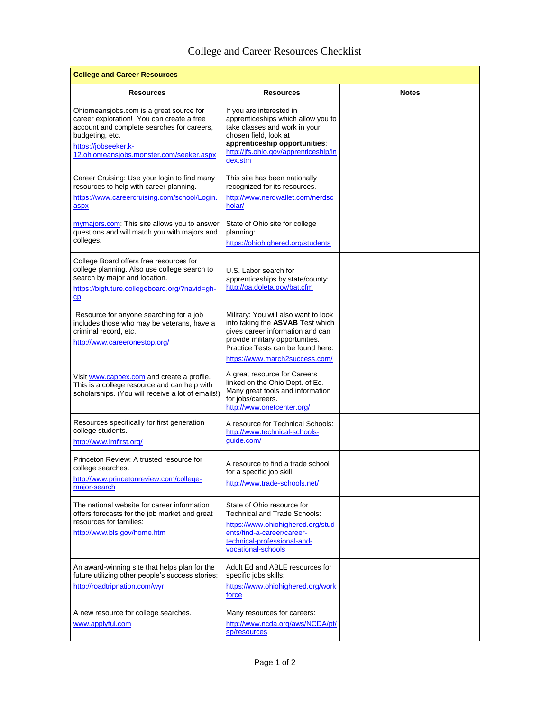## College and Career Resources Checklist

| <b>College and Career Resources</b>                                                                                                                                                                                       |                                                                                                                                                                                                                        |              |  |
|---------------------------------------------------------------------------------------------------------------------------------------------------------------------------------------------------------------------------|------------------------------------------------------------------------------------------------------------------------------------------------------------------------------------------------------------------------|--------------|--|
| Resources                                                                                                                                                                                                                 | <b>Resources</b>                                                                                                                                                                                                       | <b>Notes</b> |  |
| Ohiomeansjobs.com is a great source for<br>career exploration! You can create a free<br>account and complete searches for careers,<br>budgeting, etc.<br>https://jobseeker.k-<br>12.ohiomeansjobs.monster.com/seeker.aspx | If you are interested in<br>apprenticeships which allow you to<br>take classes and work in your<br>chosen field, look at<br>apprenticeship opportunities:<br>http://jfs.ohio.gov/apprenticeship/in<br>dex.stm          |              |  |
| Career Cruising: Use your login to find many<br>resources to help with career planning.<br>https://www.careercruising.com/school/Login.<br>aspx                                                                           | This site has been nationally<br>recognized for its resources.<br>http://www.nerdwallet.com/nerdsc<br>holar/                                                                                                           |              |  |
| mymajors.com: This site allows you to answer<br>questions and will match you with majors and<br>colleges.                                                                                                                 | State of Ohio site for college<br>planning:<br>https://ohiohighered.org/students                                                                                                                                       |              |  |
| College Board offers free resources for<br>college planning. Also use college search to<br>search by major and location.<br>https://bigfuture.collegeboard.org/?navid=gh-<br>CD                                           | U.S. Labor search for<br>apprenticeships by state/county:<br>http://oa.doleta.gov/bat.cfm                                                                                                                              |              |  |
| Resource for anyone searching for a job<br>includes those who may be veterans, have a<br>criminal record, etc.<br>http://www.careeronestop.org/                                                                           | Military: You will also want to look<br>into taking the ASVAB Test which<br>gives career information and can<br>provide military opportunities.<br>Practice Tests can be found here:<br>https://www.march2success.com/ |              |  |
| Visit www.cappex.com and create a profile.<br>This is a college resource and can help with<br>scholarships. (You will receive a lot of emails!)                                                                           | A great resource for Careers<br>linked on the Ohio Dept. of Ed.<br>Many great tools and information<br>for jobs/careers.<br>http://www.onetcenter.org/                                                                 |              |  |
| Resources specifically for first generation<br>college students.<br>http://www.imfirst.org/                                                                                                                               | A resource for Technical Schools:<br>http://www.technical-schools-<br>guide.com/                                                                                                                                       |              |  |
| Princeton Review: A trusted resource for<br>college searches.<br>http://www.princetonreview.com/college-<br>major-search                                                                                                  | A resource to find a trade school<br>for a specific job skill:<br>http://www.trade-schools.net/                                                                                                                        |              |  |
| The national website for career information<br>offers forecasts for the job market and great<br>resources for families:<br>http://www.bls.gov/home.htm                                                                    | State of Ohio resource for<br>Technical and Trade Schools:<br>https://www.ohiohighered.org/stud<br>ents/find-a-career/career-<br>technical-professional-and-<br>vocational-schools                                     |              |  |
| An award-winning site that helps plan for the<br>future utilizing other people's success stories:<br>http://roadtripnation.com/wyr                                                                                        | Adult Ed and ABLE resources for<br>specific jobs skills:<br>https://www.ohiohighered.org/work<br>force                                                                                                                 |              |  |
| A new resource for college searches.<br>www.applyful.com                                                                                                                                                                  | Many resources for careers:<br>http://www.ncda.org/aws/NCDA/pt/<br>sp/resources                                                                                                                                        |              |  |